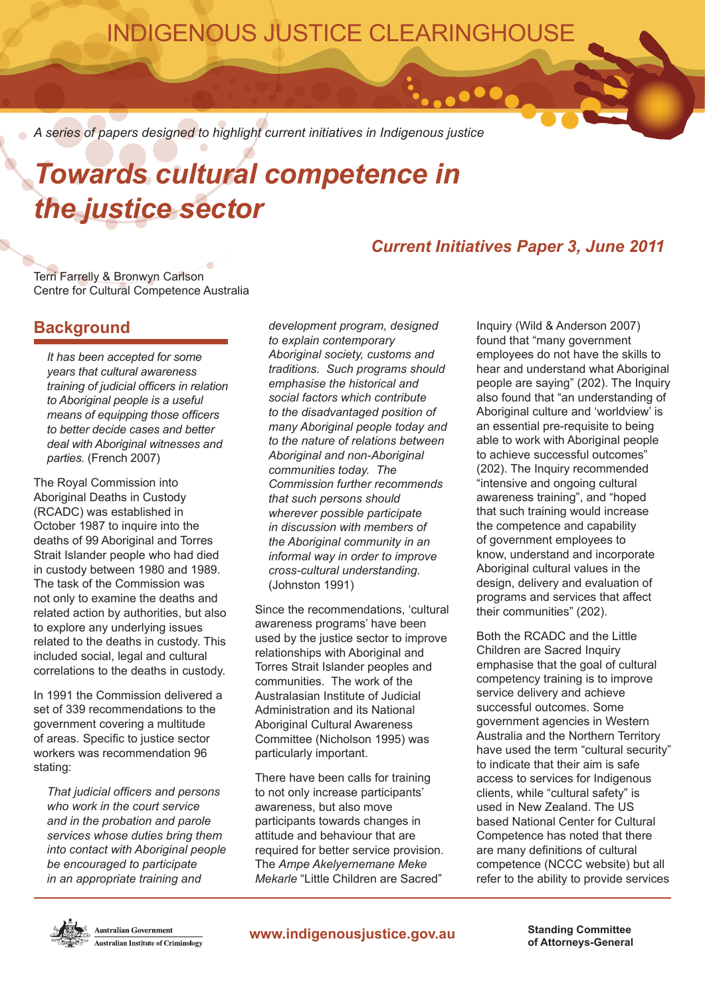## INDIGENOUS JUSTICE CLEARINGHOUSE

*A series of papers designed to highlight current initiatives in Indigenous justice*

# *Towards cultural competence in the justice sector*

## *Current Initiatives Paper 3, June 2011*

 $\bullet\bullet\bullet$ 

Terri Farrelly & Bronwyn Carlson Centre for Cultural Competence Australia

### **Background**

*It has been accepted for some years that cultural awareness training of judicial officers in relation to Aboriginal people is a useful means of equipping those officers to better decide cases and better deal with Aboriginal witnesses and parties.* (French 2007)

The Royal Commission into Aboriginal Deaths in Custody (RCADC) was established in October 1987 to inquire into the deaths of 99 Aboriginal and Torres Strait Islander people who had died in custody between 1980 and 1989. The task of the Commission was not only to examine the deaths and related action by authorities, but also to explore any underlying issues related to the deaths in custody. This included social, legal and cultural correlations to the deaths in custody.

In 1991 the Commission delivered a set of 339 recommendations to the government covering a multitude of areas. Specific to justice sector workers was recommendation 96 stating:

*That judicial officers and persons who work in the court service and in the probation and parole services whose duties bring them into contact with Aboriginal people be encouraged to participate in an appropriate training and* 

*development program, designed to explain contemporary Aboriginal society, customs and traditions. Such programs should emphasise the historical and social factors which contribute to the disadvantaged position of many Aboriginal people today and to the nature of relations between Aboriginal and non-Aboriginal communities today. The Commission further recommends that such persons should wherever possible participate in discussion with members of the Aboriginal community in an informal way in order to improve cross-cultural understanding.* (Johnston 1991)

Since the recommendations, 'cultural awareness programs' have been used by the justice sector to improve relationships with Aboriginal and Torres Strait Islander peoples and communities. The work of the Australasian Institute of Judicial Administration and its National Aboriginal Cultural Awareness Committee (Nicholson 1995) was particularly important.

There have been calls for training to not only increase participants' awareness, but also move participants towards changes in attitude and behaviour that are required for better service provision. The *Ampe Akelyernemane Meke Mekarle* "Little Children are Sacred"

Inquiry (Wild & Anderson 2007) found that "many government employees do not have the skills to hear and understand what Aboriginal people are saying" (202). The Inquiry also found that "an understanding of Aboriginal culture and 'worldview' is an essential pre-requisite to being able to work with Aboriginal people to achieve successful outcomes" (202). The Inquiry recommended "intensive and ongoing cultural awareness training", and "hoped that such training would increase the competence and capability of government employees to know, understand and incorporate Aboriginal cultural values in the design, delivery and evaluation of programs and services that affect their communities" (202).

Both the RCADC and the Little Children are Sacred Inquiry emphasise that the goal of cultural competency training is to improve service delivery and achieve successful outcomes. Some government agencies in Western Australia and the Northern Territory have used the term "cultural security" to indicate that their aim is safe access to services for Indigenous clients, while "cultural safety" is used in New Zealand. The US based National Center for Cultural Competence has noted that there are many definitions of cultural competence (NCCC website) but all refer to the ability to provide services



Australian Government **Australian Institute of Criminology**  **of Attorneys-General**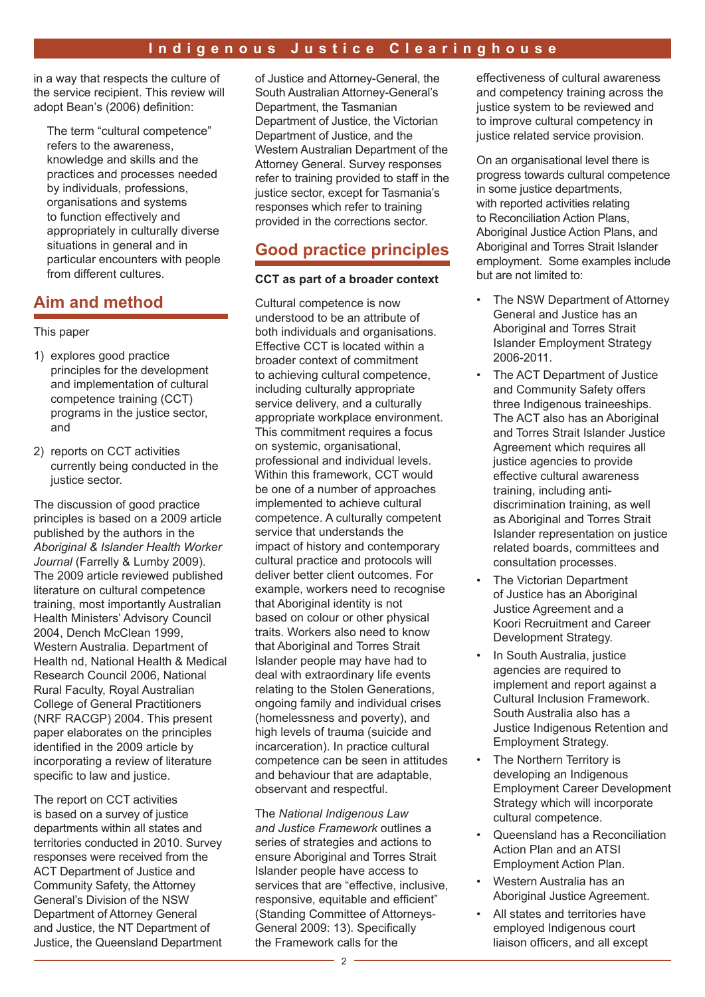in a way that respects the culture of the service recipient. This review will adopt Bean's (2006) definition:

The term "cultural competence" refers to the awareness, knowledge and skills and the practices and processes needed by individuals, professions, organisations and systems to function effectively and appropriately in culturally diverse situations in general and in particular encounters with people from different cultures.

## **Aim and method**

#### This paper

- 1) explores good practice principles for the development and implementation of cultural competence training (CCT) programs in the justice sector, and
- 2) reports on CCT activities currently being conducted in the justice sector.

The discussion of good practice principles is based on a 2009 article published by the authors in the *Aboriginal & Islander Health Worker Journal* (Farrelly & Lumby 2009). The 2009 article reviewed published literature on cultural competence training, most importantly Australian Health Ministers' Advisory Council 2004, Dench McClean 1999, Western Australia. Department of Health nd, National Health & Medical Research Council 2006, National Rural Faculty, Royal Australian College of General Practitioners (NRF RACGP) 2004. This present paper elaborates on the principles identified in the 2009 article by incorporating a review of literature specific to law and justice.

The report on CCT activities is based on a survey of justice departments within all states and territories conducted in 2010. Survey responses were received from the ACT Department of Justice and Community Safety, the Attorney General's Division of the NSW Department of Attorney General and Justice, the NT Department of Justice, the Queensland Department

of Justice and Attorney-General, the South Australian Attorney-General's Department, the Tasmanian Department of Justice, the Victorian Department of Justice, and the Western Australian Department of the Attorney General. Survey responses refer to training provided to staff in the justice sector, except for Tasmania's responses which refer to training provided in the corrections sector.

## **Good practice principles**

#### **CCT as part of a broader context**

Cultural competence is now understood to be an attribute of both individuals and organisations. Effective CCT is located within a broader context of commitment to achieving cultural competence, including culturally appropriate service delivery, and a culturally appropriate workplace environment. This commitment requires a focus on systemic, organisational, professional and individual levels. Within this framework, CCT would be one of a number of approaches implemented to achieve cultural competence. A culturally competent service that understands the impact of history and contemporary cultural practice and protocols will deliver better client outcomes. For example, workers need to recognise that Aboriginal identity is not based on colour or other physical traits. Workers also need to know that Aboriginal and Torres Strait Islander people may have had to deal with extraordinary life events relating to the Stolen Generations, ongoing family and individual crises (homelessness and poverty), and high levels of trauma (suicide and incarceration). In practice cultural competence can be seen in attitudes and behaviour that are adaptable, observant and respectful.

The *National Indigenous Law and Justice Framework* outlines a series of strategies and actions to ensure Aboriginal and Torres Strait Islander people have access to services that are "effective, inclusive, responsive, equitable and efficient" (Standing Committee of Attorneys-General 2009: 13). Specifically the Framework calls for the

effectiveness of cultural awareness and competency training across the justice system to be reviewed and to improve cultural competency in justice related service provision.

On an organisational level there is progress towards cultural competence in some justice departments, with reported activities relating to Reconciliation Action Plans, Aboriginal Justice Action Plans, and Aboriginal and Torres Strait Islander employment. Some examples include but are not limited to:

- The NSW Department of Attorney General and Justice has an Aboriginal and Torres Strait Islander Employment Strategy 2006-2011.
- The ACT Department of Justice and Community Safety offers three Indigenous traineeships. The ACT also has an Aboriginal and Torres Strait Islander Justice Agreement which requires all justice agencies to provide effective cultural awareness training, including antidiscrimination training, as well as Aboriginal and Torres Strait Islander representation on justice related boards, committees and consultation processes.
- The Victorian Department of Justice has an Aboriginal Justice Agreement and a Koori Recruitment and Career Development Strategy.
- In South Australia, justice agencies are required to implement and report against a Cultural Inclusion Framework. South Australia also has a Justice Indigenous Retention and Employment Strategy.
- The Northern Territory is developing an Indigenous Employment Career Development Strategy which will incorporate cultural competence.
- Queensland has a Reconciliation Action Plan and an ATSI Employment Action Plan.
- Western Australia has an Aboriginal Justice Agreement.
- All states and territories have employed Indigenous court liaison officers, and all except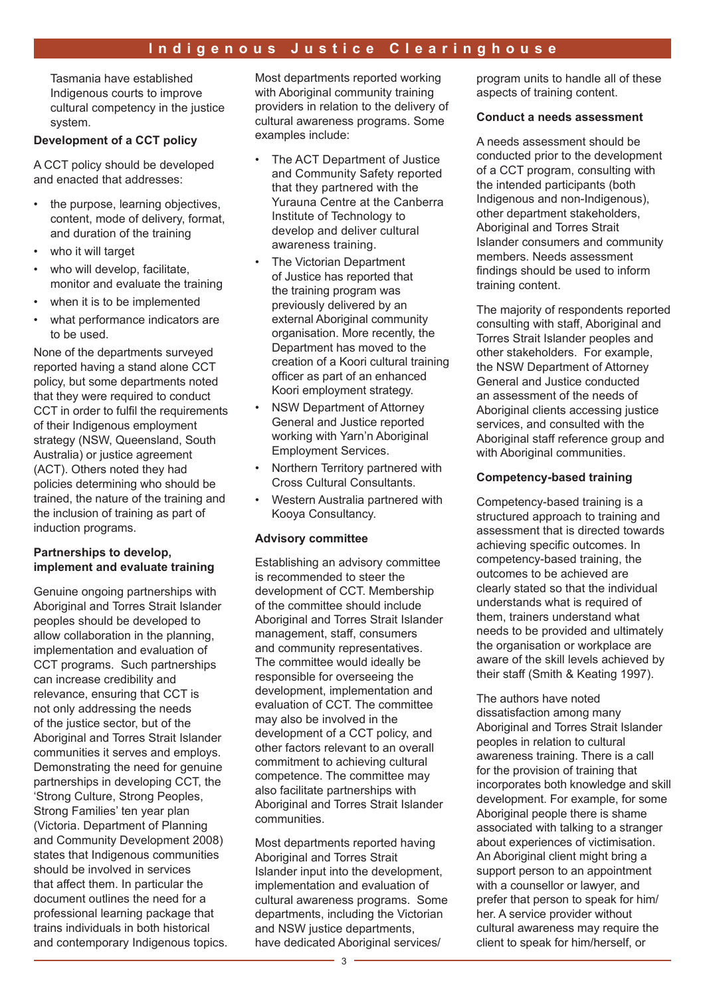Tasmania have established Indigenous courts to improve cultural competency in the justice system.

#### **Development of a CCT policy**

A CCT policy should be developed and enacted that addresses:

- the purpose, learning objectives, content, mode of delivery, format, and duration of the training
- who it will target
- who will develop, facilitate, monitor and evaluate the training
- when it is to be implemented
- what performance indicators are to be used.

None of the departments surveyed reported having a stand alone CCT policy, but some departments noted that they were required to conduct CCT in order to fulfil the requirements of their Indigenous employment strategy (NSW, Queensland, South Australia) or justice agreement (ACT). Others noted they had policies determining who should be trained, the nature of the training and the inclusion of training as part of induction programs.

#### **Partnerships to develop, implement and evaluate training**

Genuine ongoing partnerships with Aboriginal and Torres Strait Islander peoples should be developed to allow collaboration in the planning, implementation and evaluation of CCT programs. Such partnerships can increase credibility and relevance, ensuring that CCT is not only addressing the needs of the justice sector, but of the Aboriginal and Torres Strait Islander communities it serves and employs. Demonstrating the need for genuine partnerships in developing CCT, the 'Strong Culture, Strong Peoples, Strong Families' ten year plan (Victoria. Department of Planning and Community Development 2008) states that Indigenous communities should be involved in services that affect them. In particular the document outlines the need for a professional learning package that trains individuals in both historical and contemporary Indigenous topics.

Most departments reported working with Aboriginal community training providers in relation to the delivery of cultural awareness programs. Some examples include:

- The ACT Department of Justice and Community Safety reported that they partnered with the Yurauna Centre at the Canberra Institute of Technology to develop and deliver cultural awareness training.
- The Victorian Department of Justice has reported that the training program was previously delivered by an external Aboriginal community organisation. More recently, the Department has moved to the creation of a Koori cultural training officer as part of an enhanced Koori employment strategy.
- **NSW Department of Attorney** General and Justice reported working with Yarn'n Aboriginal Employment Services.
- Northern Territory partnered with Cross Cultural Consultants.
- Western Australia partnered with Kooya Consultancy.

#### **Advisory committee**

Establishing an advisory committee is recommended to steer the development of CCT. Membership of the committee should include Aboriginal and Torres Strait Islander management, staff, consumers and community representatives. The committee would ideally be responsible for overseeing the development, implementation and evaluation of CCT. The committee may also be involved in the development of a CCT policy, and other factors relevant to an overall commitment to achieving cultural competence. The committee may also facilitate partnerships with Aboriginal and Torres Strait Islander communities.

Most departments reported having Aboriginal and Torres Strait Islander input into the development, implementation and evaluation of cultural awareness programs. Some departments, including the Victorian and NSW justice departments, have dedicated Aboriginal services/

program units to handle all of these aspects of training content.

#### **Conduct a needs assessment**

A needs assessment should be conducted prior to the development of a CCT program, consulting with the intended participants (both Indigenous and non-Indigenous), other department stakeholders, Aboriginal and Torres Strait Islander consumers and community members. Needs assessment findings should be used to inform training content.

The majority of respondents reported consulting with staff, Aboriginal and Torres Strait Islander peoples and other stakeholders. For example, the NSW Department of Attorney General and Justice conducted an assessment of the needs of Aboriginal clients accessing justice services, and consulted with the Aboriginal staff reference group and with Aboriginal communities.

#### **Competency-based training**

Competency-based training is a structured approach to training and assessment that is directed towards achieving specific outcomes. In competency-based training, the outcomes to be achieved are clearly stated so that the individual understands what is required of them, trainers understand what needs to be provided and ultimately the organisation or workplace are aware of the skill levels achieved by their staff (Smith & Keating 1997).

The authors have noted dissatisfaction among many Aboriginal and Torres Strait Islander peoples in relation to cultural awareness training. There is a call for the provision of training that incorporates both knowledge and skill development. For example, for some Aboriginal people there is shame associated with talking to a stranger about experiences of victimisation. An Aboriginal client might bring a support person to an appointment with a counsellor or lawyer, and prefer that person to speak for him/ her. A service provider without cultural awareness may require the client to speak for him/herself, or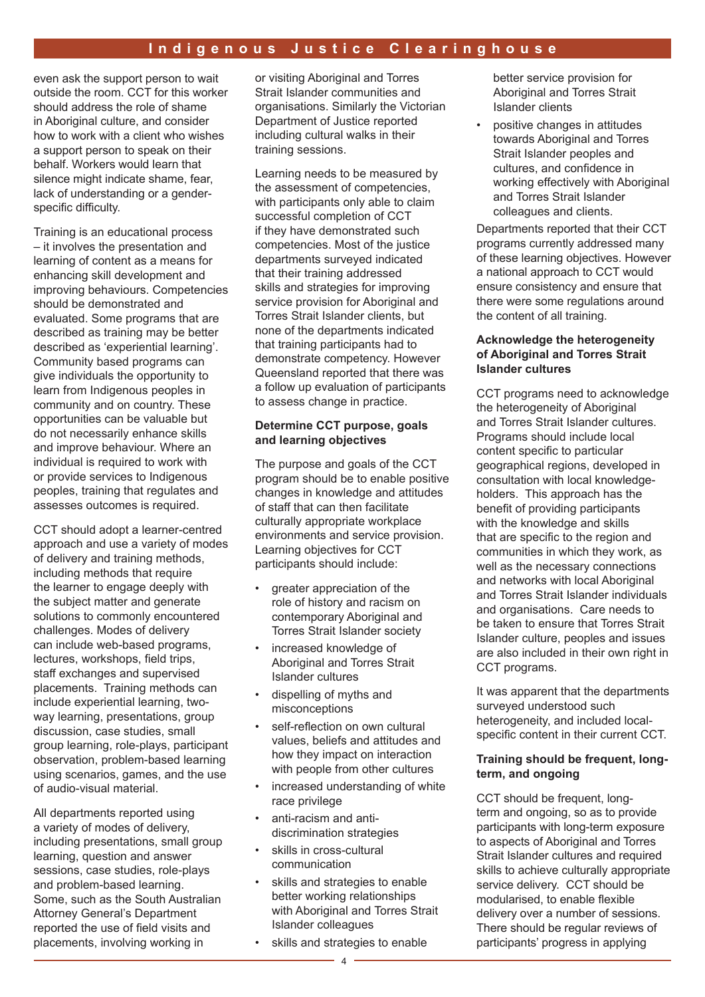even ask the support person to wait outside the room. CCT for this worker should address the role of shame in Aboriginal culture, and consider how to work with a client who wishes a support person to speak on their behalf. Workers would learn that silence might indicate shame, fear, lack of understanding or a genderspecific difficulty.

Training is an educational process – it involves the presentation and learning of content as a means for enhancing skill development and improving behaviours. Competencies should be demonstrated and evaluated. Some programs that are described as training may be better described as 'experiential learning'. Community based programs can give individuals the opportunity to learn from Indigenous peoples in community and on country. These opportunities can be valuable but do not necessarily enhance skills and improve behaviour. Where an individual is required to work with or provide services to Indigenous peoples, training that regulates and assesses outcomes is required.

CCT should adopt a learner-centred approach and use a variety of modes of delivery and training methods, including methods that require the learner to engage deeply with the subject matter and generate solutions to commonly encountered challenges. Modes of delivery can include web-based programs, lectures, workshops, field trips, staff exchanges and supervised placements. Training methods can include experiential learning, twoway learning, presentations, group discussion, case studies, small group learning, role-plays, participant observation, problem-based learning using scenarios, games, and the use of audio-visual material.

All departments reported using a variety of modes of delivery, including presentations, small group learning, question and answer sessions, case studies, role-plays and problem-based learning. Some, such as the South Australian Attorney General's Department reported the use of field visits and placements, involving working in

or visiting Aboriginal and Torres Strait Islander communities and organisations. Similarly the Victorian Department of Justice reported including cultural walks in their training sessions.

Learning needs to be measured by the assessment of competencies, with participants only able to claim successful completion of CCT if they have demonstrated such competencies. Most of the justice departments surveyed indicated that their training addressed skills and strategies for improving service provision for Aboriginal and Torres Strait Islander clients, but none of the departments indicated that training participants had to demonstrate competency. However Queensland reported that there was a follow up evaluation of participants to assess change in practice.

#### **Determine CCT purpose, goals and learning objectives**

The purpose and goals of the CCT program should be to enable positive changes in knowledge and attitudes of staff that can then facilitate culturally appropriate workplace environments and service provision. Learning objectives for CCT participants should include:

- greater appreciation of the role of history and racism on contemporary Aboriginal and Torres Strait Islander society
- increased knowledge of Aboriginal and Torres Strait Islander cultures
- dispelling of myths and misconceptions
- self-reflection on own cultural values, beliefs and attitudes and how they impact on interaction with people from other cultures
- increased understanding of white race privilege
- anti-racism and antidiscrimination strategies
- skills in cross-cultural communication
- skills and strategies to enable better working relationships with Aboriginal and Torres Strait Islander colleagues
- skills and strategies to enable

better service provision for Aboriginal and Torres Strait Islander clients

• positive changes in attitudes towards Aboriginal and Torres Strait Islander peoples and cultures, and confidence in working effectively with Aboriginal and Torres Strait Islander colleagues and clients.

Departments reported that their CCT programs currently addressed many of these learning objectives. However a national approach to CCT would ensure consistency and ensure that there were some regulations around the content of all training.

#### **Acknowledge the heterogeneity of Aboriginal and Torres Strait Islander cultures**

CCT programs need to acknowledge the heterogeneity of Aboriginal and Torres Strait Islander cultures. Programs should include local content specific to particular geographical regions, developed in consultation with local knowledgeholders. This approach has the benefit of providing participants with the knowledge and skills that are specific to the region and communities in which they work, as well as the necessary connections and networks with local Aboriginal and Torres Strait Islander individuals and organisations. Care needs to be taken to ensure that Torres Strait Islander culture, peoples and issues are also included in their own right in CCT programs.

It was apparent that the departments surveyed understood such heterogeneity, and included localspecific content in their current CCT.

#### **Training should be frequent, longterm, and ongoing**

CCT should be frequent, longterm and ongoing, so as to provide participants with long-term exposure to aspects of Aboriginal and Torres Strait Islander cultures and required skills to achieve culturally appropriate service delivery. CCT should be modularised, to enable flexible delivery over a number of sessions. There should be regular reviews of participants' progress in applying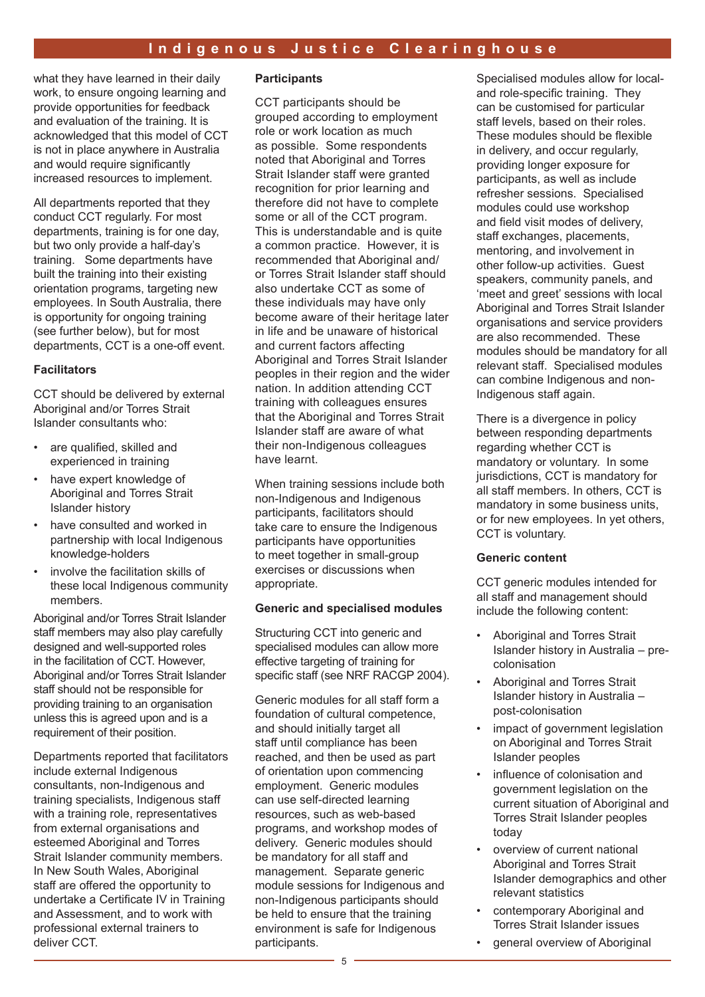what they have learned in their daily work, to ensure ongoing learning and provide opportunities for feedback and evaluation of the training. It is acknowledged that this model of CCT is not in place anywhere in Australia and would require significantly increased resources to implement.

All departments reported that they conduct CCT regularly. For most departments, training is for one day, but two only provide a half-day's training. Some departments have built the training into their existing orientation programs, targeting new employees. In South Australia, there is opportunity for ongoing training (see further below), but for most departments, CCT is a one-off event.

#### **Facilitators**

CCT should be delivered by external Aboriginal and/or Torres Strait Islander consultants who:

- are qualified, skilled and experienced in training
- have expert knowledge of Aboriginal and Torres Strait Islander history
- have consulted and worked in partnership with local Indigenous knowledge-holders
- involve the facilitation skills of these local Indigenous community members.

Aboriginal and/or Torres Strait Islander staff members may also play carefully designed and well-supported roles in the facilitation of CCT. However, Aboriginal and/or Torres Strait Islander staff should not be responsible for providing training to an organisation unless this is agreed upon and is a requirement of their position.

Departments reported that facilitators include external Indigenous consultants, non-Indigenous and training specialists, Indigenous staff with a training role, representatives from external organisations and esteemed Aboriginal and Torres Strait Islander community members. In New South Wales, Aboriginal staff are offered the opportunity to undertake a Certificate IV in Training and Assessment, and to work with professional external trainers to deliver CCT.

#### **Participants**

CCT participants should be grouped according to employment role or work location as much as possible. Some respondents noted that Aboriginal and Torres Strait Islander staff were granted recognition for prior learning and therefore did not have to complete some or all of the CCT program. This is understandable and is quite a common practice. However, it is recommended that Aboriginal and/ or Torres Strait Islander staff should also undertake CCT as some of these individuals may have only become aware of their heritage later in life and be unaware of historical and current factors affecting Aboriginal and Torres Strait Islander peoples in their region and the wider nation. In addition attending CCT training with colleagues ensures that the Aboriginal and Torres Strait Islander staff are aware of what their non-Indigenous colleagues have learnt.

When training sessions include both non-Indigenous and Indigenous participants, facilitators should take care to ensure the Indigenous participants have opportunities to meet together in small-group exercises or discussions when appropriate.

#### **Generic and specialised modules**

Structuring CCT into generic and specialised modules can allow more effective targeting of training for specific staff (see NRF RACGP 2004).

Generic modules for all staff form a foundation of cultural competence, and should initially target all staff until compliance has been reached, and then be used as part of orientation upon commencing employment. Generic modules can use self-directed learning resources, such as web-based programs, and workshop modes of delivery. Generic modules should be mandatory for all staff and management. Separate generic module sessions for Indigenous and non-Indigenous participants should be held to ensure that the training environment is safe for Indigenous participants.

Specialised modules allow for localand role-specific training. They can be customised for particular staff levels, based on their roles. These modules should be flexible in delivery, and occur regularly, providing longer exposure for participants, as well as include refresher sessions. Specialised modules could use workshop and field visit modes of delivery, staff exchanges, placements, mentoring, and involvement in other follow-up activities. Guest speakers, community panels, and 'meet and greet' sessions with local Aboriginal and Torres Strait Islander organisations and service providers are also recommended. These modules should be mandatory for all relevant staff. Specialised modules can combine Indigenous and non-Indigenous staff again.

There is a divergence in policy between responding departments regarding whether CCT is mandatory or voluntary. In some jurisdictions, CCT is mandatory for all staff members. In others, CCT is mandatory in some business units, or for new employees. In yet others, CCT is voluntary.

#### **Generic content**

CCT generic modules intended for all staff and management should include the following content:

- Aboriginal and Torres Strait Islander history in Australia – precolonisation
- Aboriginal and Torres Strait Islander history in Australia – post-colonisation
- impact of government legislation on Aboriginal and Torres Strait Islander peoples
- influence of colonisation and government legislation on the current situation of Aboriginal and Torres Strait Islander peoples today
- overview of current national Aboriginal and Torres Strait Islander demographics and other relevant statistics
- contemporary Aboriginal and Torres Strait Islander issues
- general overview of Aboriginal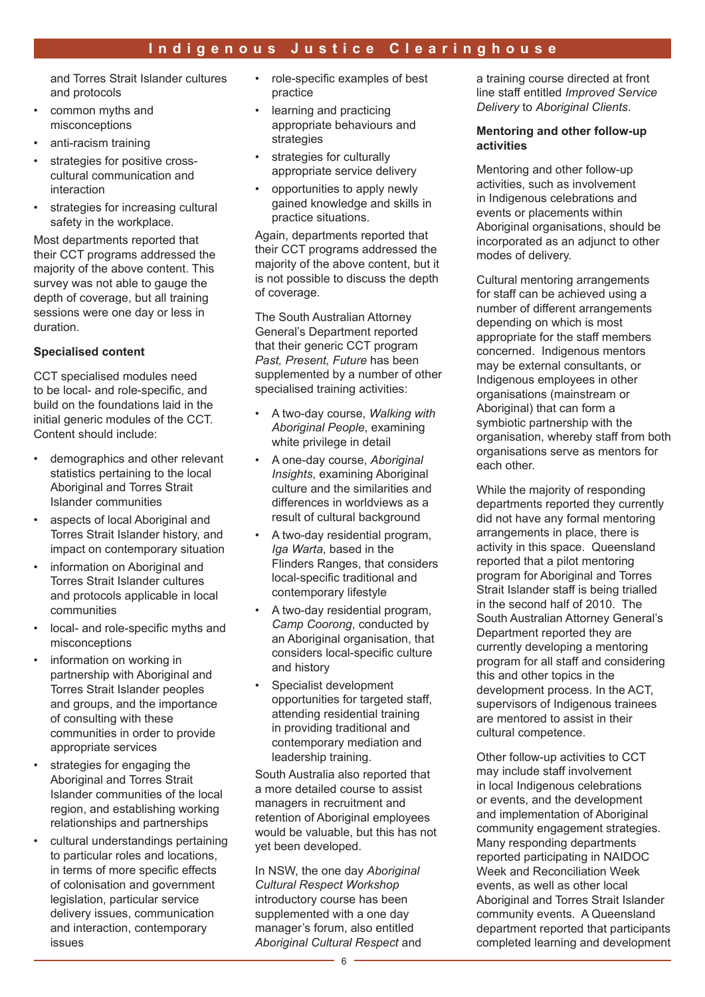and Torres Strait Islander cultures and protocols

- common myths and misconceptions
- anti-racism training
- strategies for positive crosscultural communication and interaction
- strategies for increasing cultural safety in the workplace.

Most departments reported that their CCT programs addressed the majority of the above content. This survey was not able to gauge the depth of coverage, but all training sessions were one day or less in duration.

#### **Specialised content**

CCT specialised modules need to be local- and role-specific, and build on the foundations laid in the initial generic modules of the CCT. Content should include:

- demographics and other relevant statistics pertaining to the local Aboriginal and Torres Strait Islander communities
- aspects of local Aboriginal and Torres Strait Islander history, and impact on contemporary situation
- information on Aboriginal and Torres Strait Islander cultures and protocols applicable in local communities
- local- and role-specific myths and misconceptions
- information on working in partnership with Aboriginal and Torres Strait Islander peoples and groups, and the importance of consulting with these communities in order to provide appropriate services
- strategies for engaging the Aboriginal and Torres Strait Islander communities of the local region, and establishing working relationships and partnerships
- cultural understandings pertaining to particular roles and locations, in terms of more specific effects of colonisation and government legislation, particular service delivery issues, communication and interaction, contemporary issues
- role-specific examples of best practice
- learning and practicing appropriate behaviours and strategies
- strategies for culturally appropriate service delivery
- opportunities to apply newly gained knowledge and skills in practice situations.

Again, departments reported that their CCT programs addressed the majority of the above content, but it is not possible to discuss the depth of coverage.

The South Australian Attorney General's Department reported that their generic CCT program *Past, Present, Future* has been supplemented by a number of other specialised training activities:

- A two-day course, *Walking with Aboriginal People*, examining white privilege in detail
- A one-day course, *Aboriginal Insights*, examining Aboriginal culture and the similarities and differences in worldviews as a result of cultural background
- A two-day residential program, *Iga Warta*, based in the Flinders Ranges, that considers local-specific traditional and contemporary lifestyle
- A two-day residential program, *Camp Coorong*, conducted by an Aboriginal organisation, that considers local-specific culture and history
- Specialist development opportunities for targeted staff, attending residential training in providing traditional and contemporary mediation and leadership training.

South Australia also reported that a more detailed course to assist managers in recruitment and retention of Aboriginal employees would be valuable, but this has not yet been developed.

In NSW, the one day *Aboriginal Cultural Respect Workshop* introductory course has been supplemented with a one day manager's forum, also entitled *Aboriginal Cultural Respect* and a training course directed at front line staff entitled *Improved Service Delivery* to *Aboriginal Clients*.

#### **Mentoring and other follow-up activities**

Mentoring and other follow-up activities, such as involvement in Indigenous celebrations and events or placements within Aboriginal organisations, should be incorporated as an adjunct to other modes of delivery.

Cultural mentoring arrangements for staff can be achieved using a number of different arrangements depending on which is most appropriate for the staff members concerned. Indigenous mentors may be external consultants, or Indigenous employees in other organisations (mainstream or Aboriginal) that can form a symbiotic partnership with the organisation, whereby staff from both organisations serve as mentors for each other.

While the majority of responding departments reported they currently did not have any formal mentoring arrangements in place, there is activity in this space. Queensland reported that a pilot mentoring program for Aboriginal and Torres Strait Islander staff is being trialled in the second half of 2010. The South Australian Attorney General's Department reported they are currently developing a mentoring program for all staff and considering this and other topics in the development process. In the ACT, supervisors of Indigenous trainees are mentored to assist in their cultural competence.

Other follow-up activities to CCT may include staff involvement in local Indigenous celebrations or events, and the development and implementation of Aboriginal community engagement strategies. Many responding departments reported participating in NAIDOC Week and Reconciliation Week events, as well as other local Aboriginal and Torres Strait Islander community events. A Queensland department reported that participants completed learning and development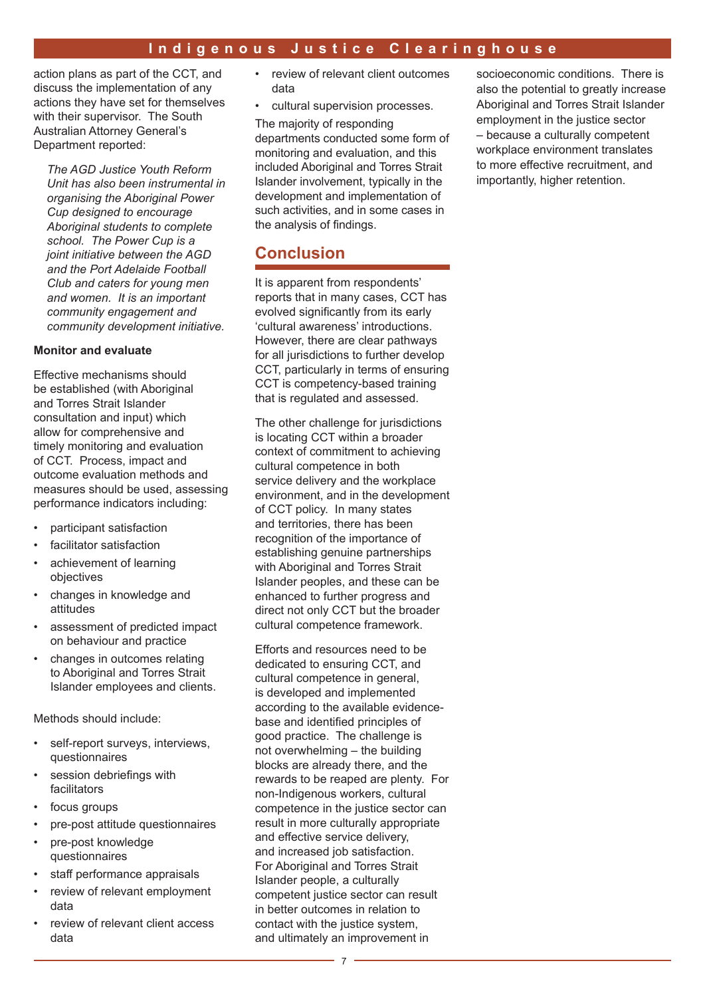action plans as part of the CCT, and discuss the implementation of any actions they have set for themselves with their supervisor. The South Australian Attorney General's Department reported:

*The AGD Justice Youth Reform Unit has also been instrumental in organising the Aboriginal Power Cup designed to encourage Aboriginal students to complete school. The Power Cup is a joint initiative between the AGD and the Port Adelaide Football Club and caters for young men and women. It is an important community engagement and community development initiative.*

#### **Monitor and evaluate**

Effective mechanisms should be established (with Aboriginal and Torres Strait Islander consultation and input) which allow for comprehensive and timely monitoring and evaluation of CCT. Process, impact and outcome evaluation methods and measures should be used, assessing performance indicators including:

- participant satisfaction
- facilitator satisfaction
- achievement of learning objectives
- changes in knowledge and attitudes
- assessment of predicted impact on behaviour and practice
- changes in outcomes relating to Aboriginal and Torres Strait Islander employees and clients.

Methods should include:

- self-report surveys, interviews, questionnaires
- session debriefings with facilitators
- focus groups
- pre-post attitude questionnaires
- pre-post knowledge questionnaires
- staff performance appraisals
- review of relevant employment data
- review of relevant client access data
- review of relevant client outcomes data
- cultural supervision processes.

The majority of responding departments conducted some form of monitoring and evaluation, and this included Aboriginal and Torres Strait Islander involvement, typically in the development and implementation of such activities, and in some cases in the analysis of findings.

## **Conclusion**

It is apparent from respondents' reports that in many cases, CCT has evolved significantly from its early 'cultural awareness' introductions. However, there are clear pathways for all jurisdictions to further develop CCT, particularly in terms of ensuring CCT is competency-based training that is regulated and assessed.

The other challenge for jurisdictions is locating CCT within a broader context of commitment to achieving cultural competence in both service delivery and the workplace environment, and in the development of CCT policy. In many states and territories, there has been recognition of the importance of establishing genuine partnerships with Aboriginal and Torres Strait Islander peoples, and these can be enhanced to further progress and direct not only CCT but the broader cultural competence framework.

Efforts and resources need to be dedicated to ensuring CCT, and cultural competence in general, is developed and implemented according to the available evidencebase and identified principles of good practice. The challenge is not overwhelming – the building blocks are already there, and the rewards to be reaped are plenty. For non-Indigenous workers, cultural competence in the justice sector can result in more culturally appropriate and effective service delivery, and increased job satisfaction. For Aboriginal and Torres Strait Islander people, a culturally competent justice sector can result in better outcomes in relation to contact with the justice system, and ultimately an improvement in

socioeconomic conditions. There is also the potential to greatly increase Aboriginal and Torres Strait Islander employment in the justice sector – because a culturally competent workplace environment translates to more effective recruitment, and importantly, higher retention.